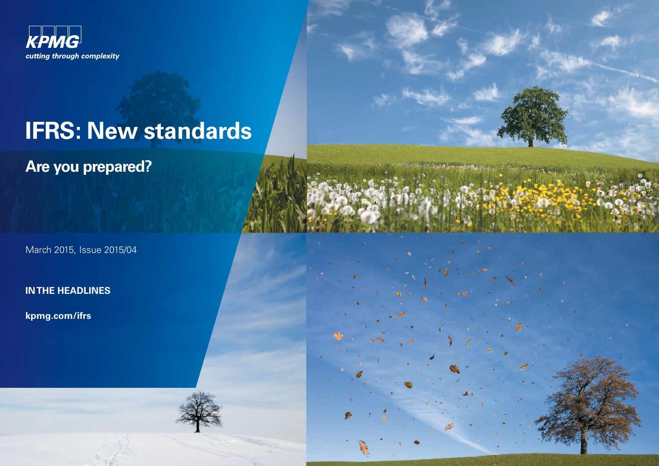

# **IFRS: New standards**

**Are you prepared?**

March 2015, Issue 2015/04

**IN THE HEADLINES**

**[kpmg.com/ifrs](www.kpmg.com/ifrs)**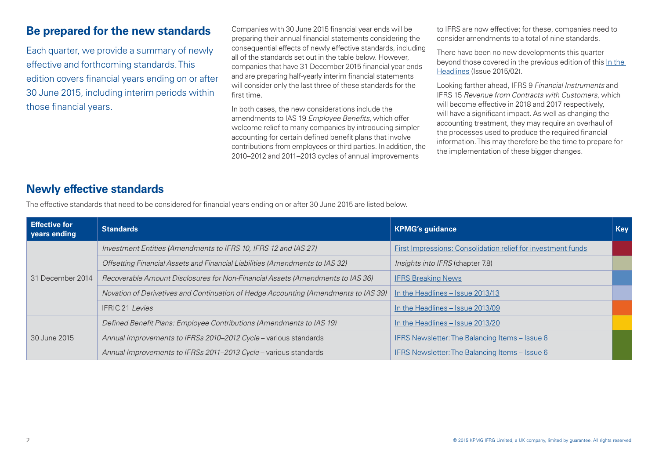## **Be prepared for the new standards**

Each quarter, we provide a summary of newly effective and forthcoming standards. This edition covers financial years ending on or after 30 June 2015, including interim periods within those financial years.

Companies with 30 June 2015 financial year ends will be preparing their annual financial statements considering the consequential effects of newly effective standards, including all of the standards set out in the table below. However, companies that have 31 December 2015 financial year ends and are preparing half-yearly interim financial statements will consider only the last three of these standards for the first time.

In both cases, the new considerations include the amendments to IAS 19 *Employee Benefits*, which offer welcome relief to many companies by introducing simpler accounting for certain defined benefit plans that involve contributions from employees or third parties. In addition, the 2010–2012 and 2011–2013 cycles of annual improvements

to IFRS are now effective; for these, companies need to consider amendments to a total of nine standards.

There have been no new developments this quarter beyond those covered in the previous edition of this [In the](http://www.kpmg.com/Global/en/IssuesAndInsights/ArticlesPublications/In-the-Headlines/Pages/ITH-2015-02.aspx)  [Headlines](http://www.kpmg.com/Global/en/IssuesAndInsights/ArticlesPublications/In-the-Headlines/Pages/ITH-2015-02.aspx) (Issue 2015/02).

Looking farther ahead, IFRS 9 *Financial Instruments* and IFRS 15 *Revenue from Contracts with Customers*, which will become effective in 2018 and 2017 respectively will have a significant impact. As well as changing the accounting treatment, they may require an overhaul of the processes used to produce the required financial information. This may therefore be the time to prepare for the implementation of these bigger changes.

# **Newly effective standards**

The effective standards that need to be considered for financial years ending on or after 30 June 2015 are listed below.

| <b>Effective for</b><br>vears ending | <b>Standards</b>                                                                    | <b>KPMG's guidance</b>                                       | <b>Key</b> |
|--------------------------------------|-------------------------------------------------------------------------------------|--------------------------------------------------------------|------------|
| 31 December 2014                     | Investment Entities (Amendments to IFRS 10, IFRS 12 and IAS 27)                     | First Impressions: Consolidation relief for investment funds |            |
|                                      | Offsetting Financial Assets and Financial Liabilities (Amendments to IAS 32)        | Insights into IFRS (chapter 7.8)                             |            |
|                                      | Recoverable Amount Disclosures for Non-Financial Assets (Amendments to IAS 36)      | <b>IFRS Breaking News</b>                                    |            |
|                                      | Novation of Derivatives and Continuation of Hedge Accounting (Amendments to IAS 39) | In the Headlines - Issue 2013/13                             |            |
|                                      | <b>IFRIC 21 Levies</b>                                                              | In the Headlines - Issue 2013/09                             |            |
| 30 June 2015                         | Defined Benefit Plans: Employee Contributions (Amendments to IAS 19)                | In the Headlines - Issue 2013/20                             |            |
|                                      | Annual Improvements to IFRSs 2010-2012 Cycle - various standards                    | IFRS Newsletter: The Balancing Items – Issue 6               |            |
|                                      | Annual Improvements to IFRSs 2011-2013 Cycle - various standards                    | IFRS Newsletter: The Balancing Items - Issue 6               |            |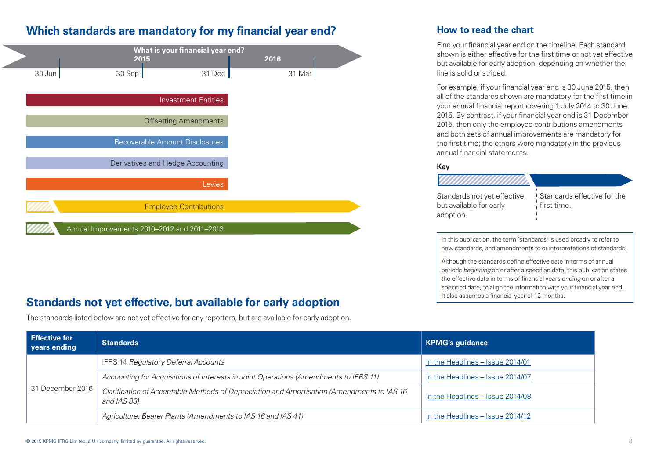# **Which standards are mandatory for my financial year end?**



# **It also assumes a financial year of 12 months. Standards not vet effective, but available for early adoption**

The standards listed below are not yet effective for any reporters, but are available for early adoption.

#### **How to read the chart**

Find your financial year end on the timeline. Each standard shown is either effective for the first time or not yet effective but available for early adoption, depending on whether the line is solid or striped.

For example, if your financial year end is 30 June 2015, then all of the standards shown are mandatory for the first time in your annual financial report covering 1 July 2014 to 30 June 2015. By contrast, if your financial year end is 31 December 2015, then only the employee contributions amendments and both sets of annual improvements are mandatory for the first time; the others were mandatory in the previous annual financial statements.

#### **Key**



In this publication, the term 'standards' is used broadly to refer to new standards, and amendments to or interpretations of standards.

Although the standards define effective date in terms of annual periods *beginning* on or after a specified date, this publication states the effective date in terms of financial years *ending* on or after a specified date, to align the information with your financial year end.

| <b>Effective for</b><br>vears ending | <b>Standards</b>                                                                                          | <b>KPMG's guidance</b>           |
|--------------------------------------|-----------------------------------------------------------------------------------------------------------|----------------------------------|
| 31 December 2016                     | <b>IFRS 14 Regulatory Deferral Accounts</b>                                                               | In the Headlines – Issue 2014/01 |
|                                      | Accounting for Acquisitions of Interests in Joint Operations (Amendments to IFRS 11)                      | In the Headlines - Issue 2014/07 |
|                                      | Clarification of Acceptable Methods of Depreciation and Amortisation (Amendments to IAS 16<br>and IAS 38) | In the Headlines - Issue 2014/08 |
|                                      | Agriculture: Bearer Plants (Amendments to IAS 16 and IAS 41)                                              | In the Headlines - Issue 2014/12 |